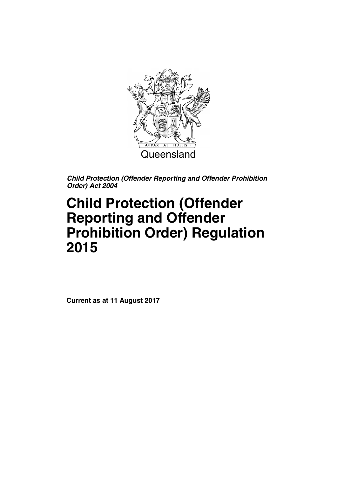

# **Child Protection (Offender Reporting and Offender Prohibition Order) Regulation 2015**

**Current as at 11 August 2017**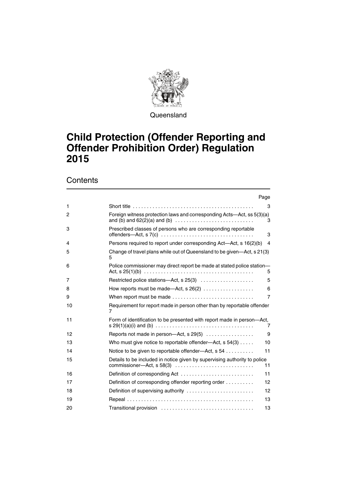

**Queensland** 

## **Child Protection (Offender Reporting and Offender Prohibition Order) Regulation**

## **Contents**

|              | Page                                                                                                         |
|--------------|--------------------------------------------------------------------------------------------------------------|
| 1            | 3                                                                                                            |
| $\mathbf{2}$ | Foreign witness protection laws and corresponding Acts—Act, ss 5(3)(a)<br>3                                  |
| 3            | Prescribed classes of persons who are corresponding reportable<br>3                                          |
| 4            | Persons required to report under corresponding Act-Act, s 16(2)(b)<br>$\overline{4}$                         |
| 5            | Change of travel plans while out of Queensland to be given-Act, s 21(3)<br>5                                 |
| 6            | Police commissioner may direct report be made at stated police station-<br>5                                 |
| 7            | Restricted police stations-Act, s 25(3)<br>5                                                                 |
| 8            | 6<br>How reports must be made—Act, $s$ 26(2) $\ldots$                                                        |
| 9            | When report must be made<br>$\overline{7}$                                                                   |
| 10           | Requirement for report made in person other than by reportable offender<br>7                                 |
| 11           | Form of identification to be presented with report made in person-Act,<br>7                                  |
| 12           | Reports not made in person-Act, s 29(5)<br>9                                                                 |
| 13           | Who must give notice to reportable offender—Act, $s$ 54(3)<br>10                                             |
| 14           | Notice to be given to reportable offender-Act, s 54<br>11                                                    |
| 15           | Details to be included in notice given by supervising authority to police<br>commissioner-Act, s 58(3)<br>11 |
| 16           | Definition of corresponding Act<br>11                                                                        |
| 17           | Definition of corresponding offender reporting order<br>12                                                   |
| 18           | Definition of supervising authority<br>12                                                                    |
| 19           | 13                                                                                                           |
| 20           | 13                                                                                                           |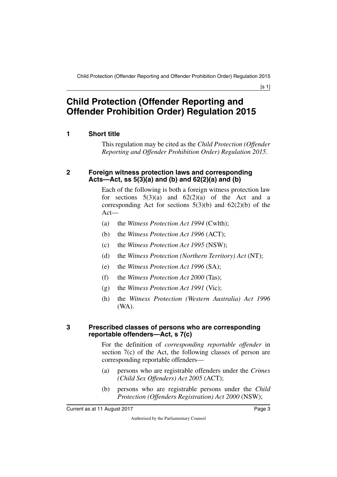[s 1]

## **Child Protection (Offender Reporting and Offender Prohibition Order) Regulation 2015**

## <span id="page-4-0"></span>**1 Short title**

<span id="page-4-1"></span>This regulation may be cited as the *Child Protection (Offender Reporting and Offender Prohibition Order) Regulation 2015*.

### <span id="page-4-3"></span><span id="page-4-2"></span>**2 Foreign witness protection laws and corresponding Acts—Act, ss 5(3)(a) and (b) and 62(2)(a) and (b)**

Each of the following is both a foreign witness protection law for sections  $5(3)(a)$  and  $62(2)(a)$  of the Act and a corresponding Act for sections  $5(3)(b)$  and  $62(2)(b)$  of the Act—

- (a) the *Witness Protection Act 1994* (Cwlth);
- (b) the *Witness Protection Act 1996* (ACT);
- (c) the *Witness Protection Act 1995* (NSW);
- (d) the *Witness Protection (Northern Territory) Act* (NT);
- (e) the *Witness Protection Act 1996* (SA);
- (f) the *Witness Protection Act 2000* (Tas);
- (g) the *Witness Protection Act 1991* (Vic);
- (h) the *Witness Protection (Western Australia) Act 1996* (WA).

#### <span id="page-4-5"></span><span id="page-4-4"></span>**3 Prescribed classes of persons who are corresponding reportable offenders—Act, s 7(c)**

For the definition of *corresponding reportable offender* in section 7(c) of the Act, the following classes of person are corresponding reportable offenders—

- (a) persons who are registrable offenders under the *Crimes (Child Sex Offenders) Act 2005* (ACT);
- (b) persons who are registrable persons under the *Child Protection (Offenders Registration) Act 2000* (NSW);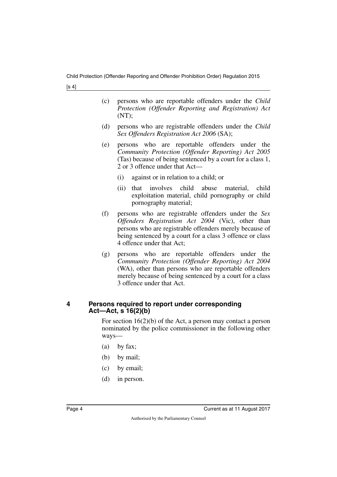[s 4]

- (c) persons who are reportable offenders under the *Child Protection (Offender Reporting and Registration) Act*  $(NT)$ ;
- (d) persons who are registrable offenders under the *Child Sex Offenders Registration Act 2006* (SA);
- (e) persons who are reportable offenders under the *Community Protection (Offender Reporting) Act 2005* (Tas) because of being sentenced by a court for a class 1, 2 or 3 offence under that Act—
	- (i) against or in relation to a child; or
	- (ii) that involves child abuse material, child exploitation material, child pornography or child pornography material;
- (f) persons who are registrable offenders under the *Sex Offenders Registration Act 2004* (Vic), other than persons who are registrable offenders merely because of being sentenced by a court for a class 3 offence or class 4 offence under that Act;
- (g) persons who are reportable offenders under the *Community Protection (Offender Reporting) Act 2004* (WA), other than persons who are reportable offenders merely because of being sentenced by a court for a class 3 offence under that Act.

### <span id="page-5-1"></span><span id="page-5-0"></span>**4 Persons required to report under corresponding Act—Act, s 16(2)(b)**

For section 16(2)(b) of the Act, a person may contact a person nominated by the police commissioner in the following other ways—

- (a) by fax;
- (b) by mail;
- (c) by email;
- (d) in person.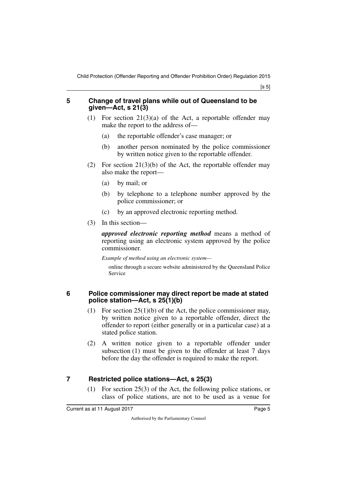[s 5]

#### <span id="page-6-0"></span>**5 Change of travel plans while out of Queensland to be given—Act, s 21(3)**

- <span id="page-6-1"></span>(1) For section  $21(3)(a)$  of the Act, a reportable offender may make the report to the address of—
	- (a) the reportable offender's case manager; or
	- (b) another person nominated by the police commissioner by written notice given to the reportable offender.
- (2) For section  $21(3)(b)$  of the Act, the reportable offender may also make the report—
	- (a) by mail; or
	- (b) by telephone to a telephone number approved by the police commissioner; or
	- (c) by an approved electronic reporting method.
- (3) In this section—

*approved electronic reporting method* means a method of reporting using an electronic system approved by the police commissioner.

*Example of method using an electronic system—*

online through a secure website administered by the Queensland Police Service

### <span id="page-6-2"></span>**6 Police commissioner may direct report be made at stated police station—Act, s 25(1)(b)**

- <span id="page-6-3"></span>(1) For section  $25(1)(b)$  of the Act, the police commissioner may, by written notice given to a reportable offender, direct the offender to report (either generally or in a particular case) at a stated police station.
- (2) A written notice given to a reportable offender under subsection (1) must be given to the offender at least 7 days before the day the offender is required to make the report.

## <span id="page-6-4"></span>**7 Restricted police stations—Act, s 25(3)**

<span id="page-6-5"></span>(1) For section 25(3) of the Act, the following police stations, or class of police stations, are not to be used as a venue for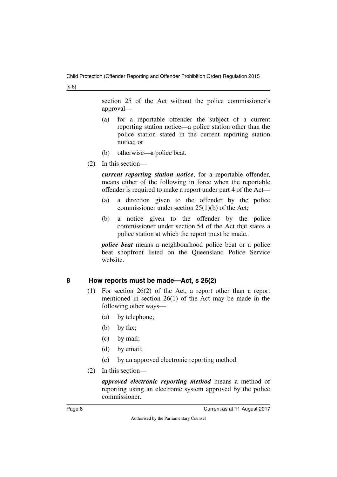[s 8]

section 25 of the Act without the police commissioner's approval—

- (a) for a reportable offender the subject of a current reporting station notice—a police station other than the police station stated in the current reporting station notice; or
- (b) otherwise—a police beat.
- (2) In this section—

*current reporting station notice*, for a reportable offender, means either of the following in force when the reportable offender is required to make a report under part 4 of the Act—

- (a) a direction given to the offender by the police commissioner under section 25(1)(b) of the Act;
- (b) a notice given to the offender by the police commissioner under section 54 of the Act that states a police station at which the report must be made.

*police beat* means a neighbourhood police beat or a police beat shopfront listed on the Queensland Police Service website.

## <span id="page-7-0"></span>**8 How reports must be made—Act, s 26(2)**

- <span id="page-7-1"></span>(1) For section 26(2) of the Act, a report other than a report mentioned in section 26(1) of the Act may be made in the following other ways—
	- (a) by telephone;
	- (b) by fax;
	- (c) by mail;
	- (d) by email;
	- (e) by an approved electronic reporting method.
- (2) In this section—

*approved electronic reporting method* means a method of reporting using an electronic system approved by the police commissioner.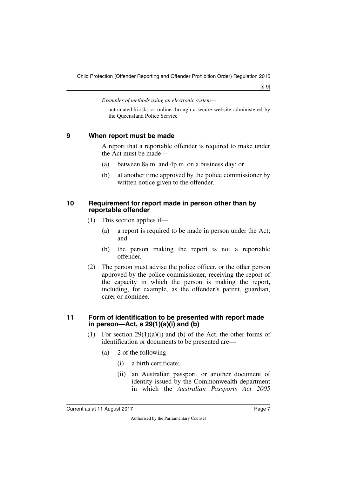*Examples of methods using an electronic system—*

automated kiosks or online through a secure website administered by the Queensland Police Service

### <span id="page-8-0"></span>**9 When report must be made**

<span id="page-8-1"></span>A report that a reportable offender is required to make under the Act must be made—

- (a) between 8a.m. and 4p.m. on a business day; or
- (b) at another time approved by the police commissioner by written notice given to the offender.

#### <span id="page-8-3"></span><span id="page-8-2"></span>**10 Requirement for report made in person other than by reportable offender**

- (1) This section applies if—
	- (a) a report is required to be made in person under the Act; and
	- (b) the person making the report is not a reportable offender.
- (2) The person must advise the police officer, or the other person approved by the police commissioner, receiving the report of the capacity in which the person is making the report, including, for example, as the offender's parent, guardian, carer or nominee.

#### <span id="page-8-5"></span><span id="page-8-4"></span>**11 Form of identification to be presented with report made in person—Act, s 29(1)(a)(i) and (b)**

- (1) For section  $29(1)(a)(i)$  and (b) of the Act, the other forms of identification or documents to be presented are—
	- (a) 2 of the following—
		- (i) a birth certificate;
		- (ii) an Australian passport, or another document of identity issued by the Commonwealth department in which the *Australian Passports Act 2005*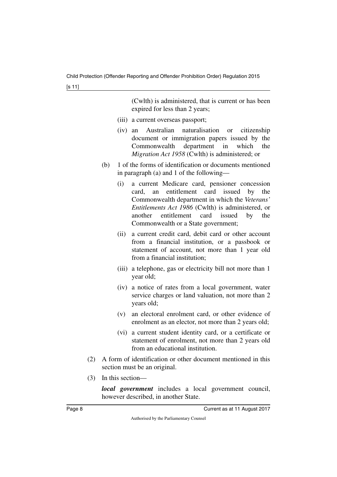(Cwlth) is administered, that is current or has been expired for less than 2 years;

- (iii) a current overseas passport;
- (iv) an Australian naturalisation or citizenship document or immigration papers issued by the Commonwealth department in which the *Migration Act 1958* (Cwlth) is administered; or
- (b) 1 of the forms of identification or documents mentioned in paragraph (a) and 1 of the following—
	- (i) a current Medicare card, pensioner concession card, an entitlement card issued by the Commonwealth department in which the *Veterans' Entitlements Act 1986* (Cwlth) is administered, or another entitlement card issued by the Commonwealth or a State government;
	- (ii) a current credit card, debit card or other account from a financial institution, or a passbook or statement of account, not more than 1 year old from a financial institution;
	- (iii) a telephone, gas or electricity bill not more than 1 year old;
	- (iv) a notice of rates from a local government, water service charges or land valuation, not more than 2 years old;
	- (v) an electoral enrolment card, or other evidence of enrolment as an elector, not more than 2 years old;
	- (vi) a current student identity card, or a certificate or statement of enrolment, not more than 2 years old from an educational institution.
- (2) A form of identification or other document mentioned in this section must be an original.
- (3) In this section—

*local government* includes a local government council, however described, in another State.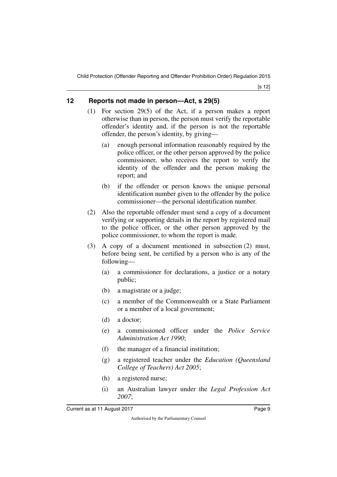[s 12]

## <span id="page-10-0"></span>**12 Reports not made in person—Act, s 29(5)**

- <span id="page-10-1"></span>(1) For section 29(5) of the Act, if a person makes a report otherwise than in person, the person must verify the reportable offender's identity and, if the person is not the reportable offender, the person's identity, by giving—
	- (a) enough personal information reasonably required by the police officer, or the other person approved by the police commissioner, who receives the report to verify the identity of the offender and the person making the report; and
	- (b) if the offender or person knows the unique personal identification number given to the offender by the police commissioner—the personal identification number.
- (2) Also the reportable offender must send a copy of a document verifying or supporting details in the report by registered mail to the police officer, or the other person approved by the police commissioner, to whom the report is made.
- (3) A copy of a document mentioned in subsection (2) must, before being sent, be certified by a person who is any of the following—
	- (a) a commissioner for declarations, a justice or a notary public;
	- (b) a magistrate or a judge;
	- (c) a member of the Commonwealth or a State Parliament or a member of a local government;
	- (d) a doctor;
	- (e) a commissioned officer under the *Police Service Administration Act 1990*;
	- (f) the manager of a financial institution;
	- (g) a registered teacher under the *Education (Queensland College of Teachers) Act 2005*;
	- (h) a registered nurse;
	- (i) an Australian lawyer under the *Legal Profession Act 2007*;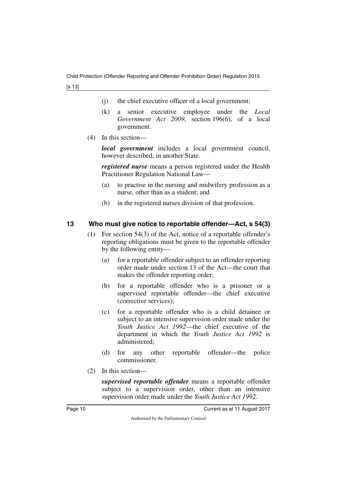[s 13]

- (j) the chief executive officer of a local government;
- (k) a senior executive employee under the *Local Government Act 2009*, section 196(6), of a local government.
- (4) In this section—

*local government* includes a local government council, however described, in another State.

*registered nurse* means a person registered under the Health Practitioner Regulation National Law—

- (a) to practise in the nursing and midwifery profession as a nurse, other than as a student; and
- (b) in the registered nurses division of that profession.

## <span id="page-11-0"></span>**13 Who must give notice to reportable offender—Act, s 54(3)**

- <span id="page-11-1"></span>(1) For section 54(3) of the Act, notice of a reportable offender's reporting obligations must be given to the reportable offender by the following entity—
	- (a) for a reportable offender subject to an offender reporting order made under section 13 of the Act—the court that makes the offender reporting order;
	- (b) for a reportable offender who is a prisoner or a supervised reportable offender—the chief executive (corrective services);
	- (c) for a reportable offender who is a child detainee or subject to an intensive supervision order made under the *Youth Justice Act 1992*—the chief executive of the department in which the *Youth Justice Act 1992* is administered;
	- (d) for any other reportable offender—the police commissioner.
- (2) In this section—

*supervised reportable offender* means a reportable offender subject to a supervision order, other than an intensive supervision order made under the *Youth Justice Act 1992*.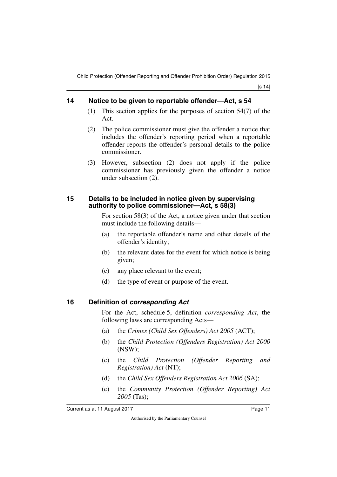[s 14]

## <span id="page-12-0"></span>**14 Notice to be given to reportable offender—Act, s 54**

- <span id="page-12-1"></span>(1) This section applies for the purposes of section 54(7) of the Act.
- (2) The police commissioner must give the offender a notice that includes the offender's reporting period when a reportable offender reports the offender's personal details to the police commissioner.
- (3) However, subsection (2) does not apply if the police commissioner has previously given the offender a notice under subsection (2).

### <span id="page-12-3"></span><span id="page-12-2"></span>**15 Details to be included in notice given by supervising authority to police commissioner—Act, s 58(3)**

For section 58(3) of the Act, a notice given under that section must include the following details—

- (a) the reportable offender's name and other details of the offender's identity;
- (b) the relevant dates for the event for which notice is being given;
- (c) any place relevant to the event;
- <span id="page-12-5"></span>(d) the type of event or purpose of the event.

## <span id="page-12-4"></span>**16 Definition of** *corresponding Act*

For the Act, schedule 5, definition *corresponding Act*, the following laws are corresponding Acts—

- (a) the *Crimes (Child Sex Offenders) Act 2005* (ACT);
- (b) the *Child Protection (Offenders Registration) Act 2000* (NSW);
- (c) the *Child Protection (Offender Reporting and Registration) Act* (NT);
- (d) the *Child Sex Offenders Registration Act 2006* (SA);
- (e) the *Community Protection (Offender Reporting) Act 2005* (Tas);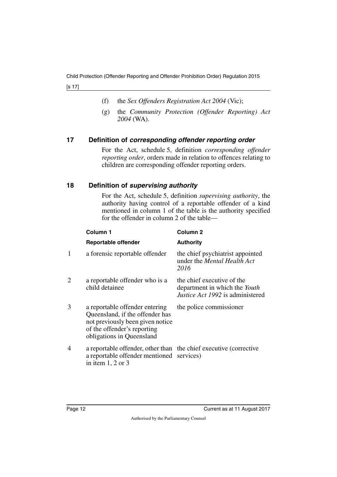[s 17]

- (f) the *Sex Offenders Registration Act 2004* (Vic);
- (g) the *Community Protection (Offender Reporting) Act 2004* (WA).

## <span id="page-13-0"></span>**17 Definition of** *corresponding offender reporting order*

<span id="page-13-1"></span>For the Act, schedule 5, definition *corresponding offender reporting order*, orders made in relation to offences relating to children are corresponding offender reporting orders.

## <span id="page-13-2"></span>**18 Definition of** *supervising authority*

<span id="page-13-3"></span>For the Act, schedule 5, definition *supervising authority*, the authority having control of a reportable offender of a kind mentioned in column 1 of the table is the authority specified for the offender in column 2 of the table—

|   | Column 1                                                                                                                                                          | Column <sub>2</sub>                                                                             |
|---|-------------------------------------------------------------------------------------------------------------------------------------------------------------------|-------------------------------------------------------------------------------------------------|
|   | <b>Reportable offender</b>                                                                                                                                        | <b>Authority</b>                                                                                |
| 1 | a forensic reportable offender                                                                                                                                    | the chief psychiatrist appointed<br>under the <i>Mental Health Act</i><br>2016                  |
| 2 | a reportable offender who is a<br>child detainee                                                                                                                  | the chief executive of the<br>department in which the Youth<br>Justice Act 1992 is administered |
| 3 | a reportable offender entering<br>Queensland, if the offender has<br>not previously been given notice<br>of the offender's reporting<br>obligations in Queensland | the police commissioner                                                                         |
| 4 | a reportable offender, other than the chief executive (corrective<br>a reportable offender mentioned services)<br>in item $1, 2$ or $3$                           |                                                                                                 |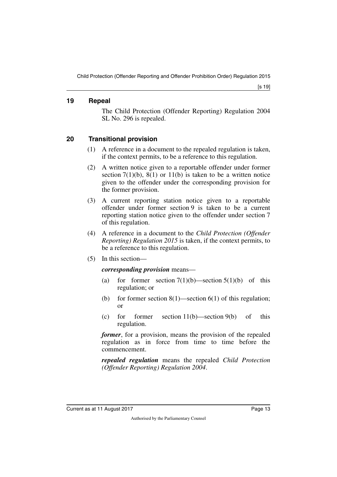#### <span id="page-14-0"></span>**19 Repeal**

<span id="page-14-1"></span>The Child Protection (Offender Reporting) Regulation 2004 SL No. 296 is repealed.

## <span id="page-14-2"></span>**20 Transitional provision**

- <span id="page-14-3"></span>(1) A reference in a document to the repealed regulation is taken, if the context permits, to be a reference to this regulation.
- (2) A written notice given to a reportable offender under former section  $7(1)(b)$ ,  $8(1)$  or  $11(b)$  is taken to be a written notice given to the offender under the corresponding provision for the former provision.
- (3) A current reporting station notice given to a reportable offender under former section 9 is taken to be a current reporting station notice given to the offender under section 7 of this regulation.
- (4) A reference in a document to the *Child Protection (Offender Reporting) Regulation 2015* is taken, if the context permits, to be a reference to this regulation.
- (5) In this section—

### *corresponding provision* means—

- (a) for former section  $7(1)(b)$ —section  $5(1)(b)$  of this regulation; or
- (b) for former section  $8(1)$ —section  $6(1)$  of this regulation; or
- (c) for former section  $11(b)$ —section  $9(b)$  of this regulation.

*former*, for a provision, means the provision of the repealed regulation as in force from time to time before the commencement.

*repealed regulation* means the repealed *Child Protection (Offender Reporting) Regulation 2004*.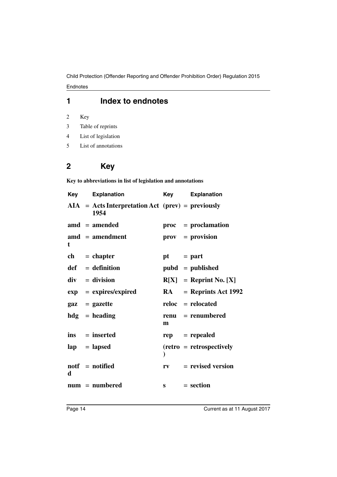## **1 Index to endnotes**

2 Key

- 3 Table of reprints
- 4 List of legislation
- 5 List of annotations

## **2 Key**

**Key to abbreviations in list of legislation and annotations**

| Key | <b>Explanation</b>                                          | Key         | <b>Explanation</b>              |
|-----|-------------------------------------------------------------|-------------|---------------------------------|
|     | $AIA = Acts Interpretation Act (prev) = previously$<br>1954 |             |                                 |
|     | $\text{and} = \text{amended}$                               |             | $proc = production$             |
| t   | $\mathbf{a} \mathbf{m} \mathbf{d}$ = amendment              |             | $\mathbf{prox} = \mathbf{prox}$ |
|     | $ch = chapter$                                              | $pt = part$ |                                 |
|     | $def = definition$                                          |             | $pubd = published$              |
|     | $div = division$                                            |             | $R[X] =$ Reprint No. [X]        |
|     | $exp = expires/expired$                                     | <b>RA</b>   | $=$ Reprints Act 1992           |
|     | $\mathbf{gaz} = \mathbf{gazette}$                           |             | reloc = relocated               |
|     | $hdg =$ heading                                             | m           | $renu = renumbered$             |
|     | ins = inserted                                              |             | $rep = rep\text{ }$             |
|     | $\mathbf{lap} = \mathbf{lapsed}$                            |             | $(retro = retrospectively)$     |
| d   | $\text{notf} = \text{notified}$                             | $r_{V}$     | $=$ revised version             |
|     | $num = numbered$                                            |             | $s = section$                   |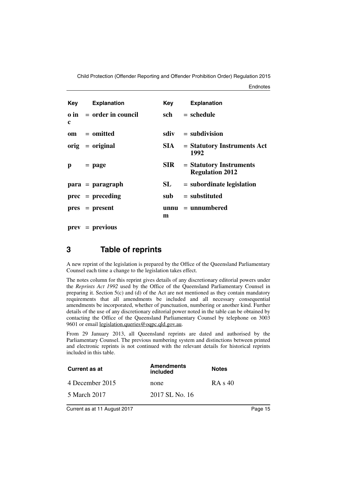**Endnotes** 

|   | <b>Key</b> Explanation          | Key   | <b>Explanation</b>                                |
|---|---------------------------------|-------|---------------------------------------------------|
| c | $\theta$ in = order in council  | sch   | $=$ schedule                                      |
|   | om = omitted                    | sdiv  | $=$ subdivision                                   |
|   | $\text{orig} = \text{original}$ | SIA – | $=$ Statutory Instruments Act<br>1992             |
| p | $=$ page                        | SIR - | = Statutory Instruments<br><b>Regulation 2012</b> |
|   | $para = paragraph$              | SL    | $=$ subordinate legislation                       |
|   | $prec = preceding$              |       | $sub =$ substituted                               |
|   | $pres = present$                | m     | $unnu = unnumbered$                               |

**prev** = **previous**

## **3 Table of reprints**

A new reprint of the legislation is prepared by the Office of the Queensland Parliamentary Counsel each time a change to the legislation takes effect.

The notes column for this reprint gives details of any discretionary editorial powers under the *Reprints Act 1992* used by the Office of the Queensland Parliamentary Counsel in preparing it. Section  $5(c)$  and (d) of the Act are not mentioned as they contain mandatory requirements that all amendments be included and all necessary consequential amendments be incorporated, whether of punctuation, numbering or another kind. Further details of the use of any discretionary editorial power noted in the table can be obtained by contacting the Office of the Queensland Parliamentary Counsel by telephone on 3003 9601 or email legislation.queries@oqpc.qld.gov.au.

From 29 January 2013, all Queensland reprints are dated and authorised by the Parliamentary Counsel. The previous numbering system and distinctions between printed and electronic reprints is not continued with the relevant details for historical reprints included in this table.

| Current as at   | <b>Amendments</b><br>included | <b>Notes</b> |
|-----------------|-------------------------------|--------------|
| 4 December 2015 | none                          | RA s 40      |
| 5 March 2017    | 2017 SL No. 16                |              |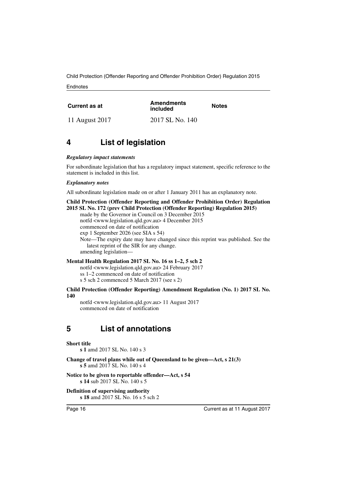**Endnotes** 

| Current as at  | <b>Amendments</b><br>included | <b>Notes</b> |
|----------------|-------------------------------|--------------|
| 11 August 2017 | 2017 SL No. 140               |              |

## **4 List of legislation**

#### *Regulatory impact statements*

For subordinate legislation that has a regulatory impact statement, specific reference to the statement is included in this list.

#### *Explanatory notes*

All subordinate legislation made on or after 1 January 2011 has an explanatory note.

#### **Child Protection (Offender Reporting and Offender Prohibition Order) Regulation 2015 SL No. 172 (prev Child Protection (Offender Reporting) Regulation 2015)**

made by the Governor in Council on 3 December 2015 notfd <www.legislation.qld.gov.au> 4 December 2015 commenced on date of notification

exp 1 September 2026 (see SIA s 54)

Note—The expiry date may have changed since this reprint was published. See the latest reprint of the SIR for any change.

amending legislation—

#### **Mental Health Regulation 2017 SL No. 16 ss 1–2, 5 sch 2**

notfd <www.legislation.qld.gov.au> 24 February 2017

ss 1–2 commenced on date of notification

s 5 sch 2 commenced 5 March 2017 (see s 2)

#### **Child Protection (Offender Reporting) Amendment Regulation (No. 1) 2017 SL No. 140**

notfd <www.legislation.qld.gov.au> 11 August 2017 commenced on date of notification

## **5 List of annotations**

#### **Short title**

**s 1** amd 2017 SL No. 140 s 3

**Change of travel plans while out of Queensland to be given—Act, s 21(3) s 5** amd 2017 SL No. 140 s 4

**Notice to be given to reportable offender—Act, s 54 s 14** sub 2017 SL No. 140 s 5

**Definition of supervising authority s 18** amd 2017 SL No. 16 s 5 sch 2